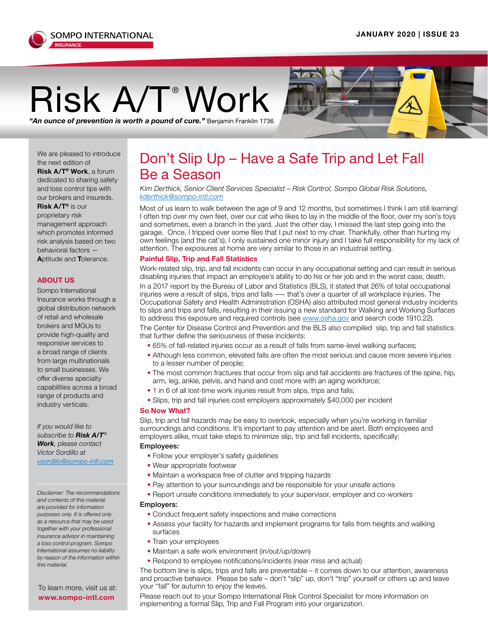

# $\mathsf{Risk}_\mathsf{A/T}$ <sup>®</sup> Work  $\mathsf{Nork}_\mathsf{A}$

We are pleased to introduce the next edition of **Risk A/T® Work**, a forum dedicated to sharing safety and loss control tips with our brokers and insureds. **Risk A/T®** is our proprietary risk management approach which promotes informed risk analysis based on two behavioral factors —

**A**ptitude and **T**olerance.

### **ABOUT US**

Sompo International Insurance works through a global distribution network of retail and wholesale brokers and MGUs to provide high-quality and responsive services to a broad range of clients from large multinationals to small businesses. We offer diverse specialty capabilities across a broad range of product[s](mailto:irizea%40sompo-intl.com?subject=) and industry verticals.

*If you would like to subscribe to Risk A/T® Work, please contact Victor Sordillo at vsordillo@sompo-intl.com*

*Disclaimer: The recommendations and contents of this material are provided for information purposes only. It is offered only as a resource that may be used together with your professional insurance advisor in maintaining a loss control program. Sompo International assumes no liability by reason of the information within this material.*

## *"An ounce of prevention is worth a pound of cure."* Benjamin Franklin 1736

### Don't Slip Up – Have a Safe Trip and Let Fall Be a Season

*Kim Derthick, Senior Client Services Specialist – Risk Control, Sompo Global Risk Solutions, [kderthick@sompo-intl.com](mailto:kderthick%40sompo-intl.com?subject=)*

Most of us learn to walk between the age of 9 and 12 months, but sometimes I think I am still learning! I often trip over my own feet, over our cat who likes to lay in the middle of the floor, over my son's toys and sometimes, even a branch in the yard. Just the other day, I missed the last step going into the garage. Once, I tripped over some files that I put next to my chair. Thankfully, other than hurting my own feelings (and the cat's), I only sustained one minor injury and I take full responsibility for my lack of attention. The exposures at home are very similar to those in an industrial setting.

### **Painful Slip, Trip and Fall Statistics**

Work-related slip, trip, and fall incidents can occur in any occupational setting and can result in serious disabling injuries that impact an employee's ability to do his or her job and in the worst case, death. In a 2017 report by the Bureau of Labor and Statistics (BLS), it stated that 26% of total occupational injuries were a result of slips, trips and falls ― that's over a quarter of all workplace injuries. The Occupational Safety and Health Administration (OSHA) also attributed most general industry incidents to slips and trips and falls, resulting in their issuing a new standard for Walking and Working Surfaces to address this exposure and required controls (see [www.osha.gov](http://www.osha.gov) and search code 1910.22). The Center for Disease Control and Prevention and the BLS also compiled slip, trip and fall statistics that further define the seriousness of these incidents:

- 65% of fall-related injuries occur as a result of falls from same-level walking surfaces;
- Although less common, elevated falls are often the most serious and cause more severe injuries to a lesser number of people;
- The most common fractures that occur from slip and fall accidents are fractures of the spine, hip, arm, leg, ankle, pelvis, and hand and cost more with an aging workforce;
- 1 in 6 of all lost-time work injuries result from slips, trips and falls;
- Slips, trip and fall injuries cost employers approximately \$40,000 per incident

### **So Now What?**

Slip, trip and fall hazards may be easy to overlook, especially when you're working in familiar surroundings and conditions. It's important to pay attention and be alert. Both employees and employers alike, must take steps to minimize slip, trip and fall incidents, specifically: Employees:

- Follow your employer's safety quidelines
- Wear appropriate footwear
- Maintain a workspace free of clutter and tripping hazards
- Pay attention to your surroundings and be responsible for your unsafe actions
- Report unsafe conditions immediately to your supervisor, employer and co-workers

#### Employers:

- Conduct frequent safety inspections and make corrections
- Assess your facility for hazards and implement programs for falls from heights and walking surfaces
- Train your employees
- Maintain a safe work environment (in/out/up/down)
- Respond to employee notifications/incidents (near miss and actual)

The bottom line is slips, trips and falls are preventable – it comes down to our attention, awareness and proactive behavior. Please be safe – don't "slip" up, don't "trip" yourself or others up and leave your "fall" for autumn to enjoy the leaves.

Please reach out to your Sompo International Risk Control Specialist for more information on implementing a formal Slip, Trip and Fall Program into your organization.

To learn more, visit us at: **www.sompo-intl.com**